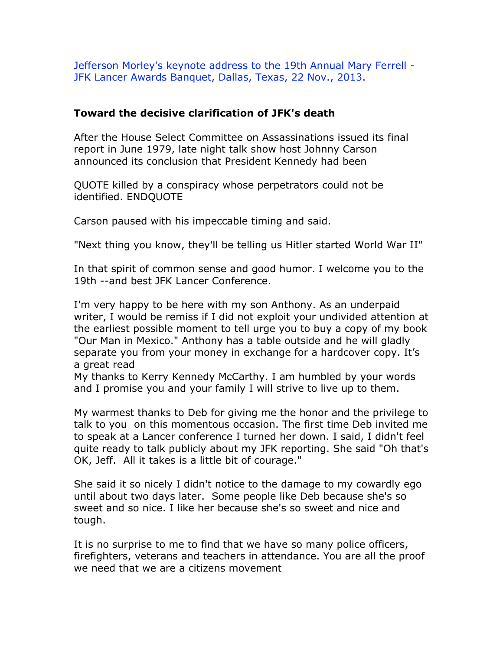Jefferson Morley's keynote address to the 19th Annual Mary Ferrell - JFK Lancer Awards Banquet, Dallas, Texas, 22 Nov., 2013.

## **Toward the decisive clarification of JFK's death**

After the House Select Committee on Assassinations issued its final report in June 1979, late night talk show host Johnny Carson announced its conclusion that President Kennedy had been

QUOTE killed by a conspiracy whose perpetrators could not be identified. ENDQUOTE

Carson paused with his impeccable timing and said.

"Next thing you know, they'll be telling us Hitler started World War II"

In that spirit of common sense and good humor. I welcome you to the 19th --and best JFK Lancer Conference.

I'm very happy to be here with my son Anthony. As an underpaid writer, I would be remiss if I did not exploit your undivided attention at the earliest possible moment to tell urge you to buy a copy of my book "Our Man in Mexico." Anthony has a table outside and he will gladly separate you from your money in exchange for a hardcover copy. It's a great read

My thanks to Kerry Kennedy McCarthy. I am humbled by your words and I promise you and your family I will strive to live up to them.

My warmest thanks to Deb for giving me the honor and the privilege to talk to you on this momentous occasion. The first time Deb invited me to speak at a Lancer conference I turned her down. I said, I didn't feel quite ready to talk publicly about my JFK reporting. She said "Oh that's OK, Jeff. All it takes is a little bit of courage."

She said it so nicely I didn't notice to the damage to my cowardly ego until about two days later. Some people like Deb because she's so sweet and so nice. I like her because she's so sweet and nice and tough.

It is no surprise to me to find that we have so many police officers, firefighters, veterans and teachers in attendance. You are all the proof we need that we are a citizens movement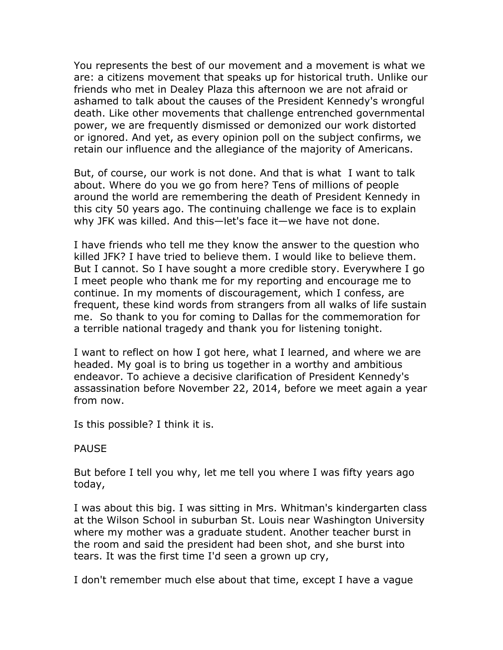You represents the best of our movement and a movement is what we are: a citizens movement that speaks up for historical truth. Unlike our friends who met in Dealey Plaza this afternoon we are not afraid or ashamed to talk about the causes of the President Kennedy's wrongful death. Like other movements that challenge entrenched governmental power, we are frequently dismissed or demonized our work distorted or ignored. And yet, as every opinion poll on the subject confirms, we retain our influence and the allegiance of the majority of Americans.

But, of course, our work is not done. And that is what I want to talk about. Where do you we go from here? Tens of millions of people around the world are remembering the death of President Kennedy in this city 50 years ago. The continuing challenge we face is to explain why JFK was killed. And this—let's face it—we have not done.

I have friends who tell me they know the answer to the question who killed JFK? I have tried to believe them. I would like to believe them. But I cannot. So I have sought a more credible story. Everywhere I go I meet people who thank me for my reporting and encourage me to continue. In my moments of discouragement, which I confess, are frequent, these kind words from strangers from all walks of life sustain me. So thank to you for coming to Dallas for the commemoration for a terrible national tragedy and thank you for listening tonight.

I want to reflect on how I got here, what I learned, and where we are headed. My goal is to bring us together in a worthy and ambitious endeavor. To achieve a decisive clarification of President Kennedy's assassination before November 22, 2014, before we meet again a year from now.

Is this possible? I think it is.

## PAUSE

But before I tell you why, let me tell you where I was fifty years ago today,

I was about this big. I was sitting in Mrs. Whitman's kindergarten class at the Wilson School in suburban St. Louis near Washington University where my mother was a graduate student. Another teacher burst in the room and said the president had been shot, and she burst into tears. It was the first time I'd seen a grown up cry,

I don't remember much else about that time, except I have a vague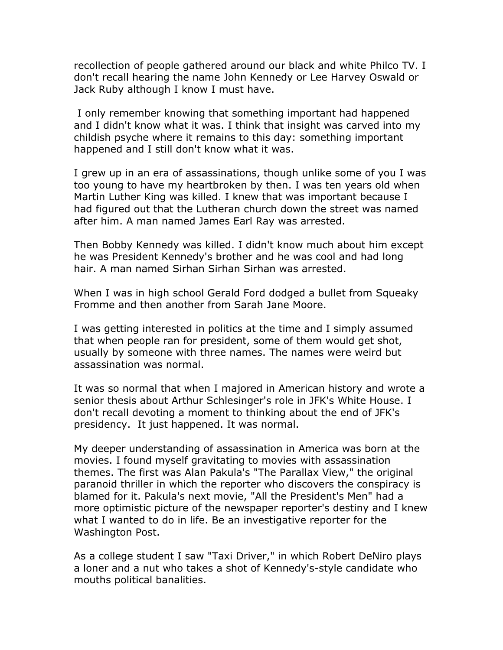recollection of people gathered around our black and white Philco TV. I don't recall hearing the name John Kennedy or Lee Harvey Oswald or Jack Ruby although I know I must have.

I only remember knowing that something important had happened and I didn't know what it was. I think that insight was carved into my childish psyche where it remains to this day: something important happened and I still don't know what it was.

I grew up in an era of assassinations, though unlike some of you I was too young to have my heartbroken by then. I was ten years old when Martin Luther King was killed. I knew that was important because I had figured out that the Lutheran church down the street was named after him. A man named James Earl Ray was arrested.

Then Bobby Kennedy was killed. I didn't know much about him except he was President Kennedy's brother and he was cool and had long hair. A man named Sirhan Sirhan Sirhan was arrested.

When I was in high school Gerald Ford dodged a bullet from Squeaky Fromme and then another from Sarah Jane Moore.

I was getting interested in politics at the time and I simply assumed that when people ran for president, some of them would get shot, usually by someone with three names. The names were weird but assassination was normal.

It was so normal that when I majored in American history and wrote a senior thesis about Arthur Schlesinger's role in JFK's White House. I don't recall devoting a moment to thinking about the end of JFK's presidency. It just happened. It was normal.

My deeper understanding of assassination in America was born at the movies. I found myself gravitating to movies with assassination themes. The first was Alan Pakula's "The Parallax View," the original paranoid thriller in which the reporter who discovers the conspiracy is blamed for it. Pakula's next movie, "All the President's Men" had a more optimistic picture of the newspaper reporter's destiny and I knew what I wanted to do in life. Be an investigative reporter for the Washington Post.

As a college student I saw "Taxi Driver," in which Robert DeNiro plays a loner and a nut who takes a shot of Kennedy's-style candidate who mouths political banalities.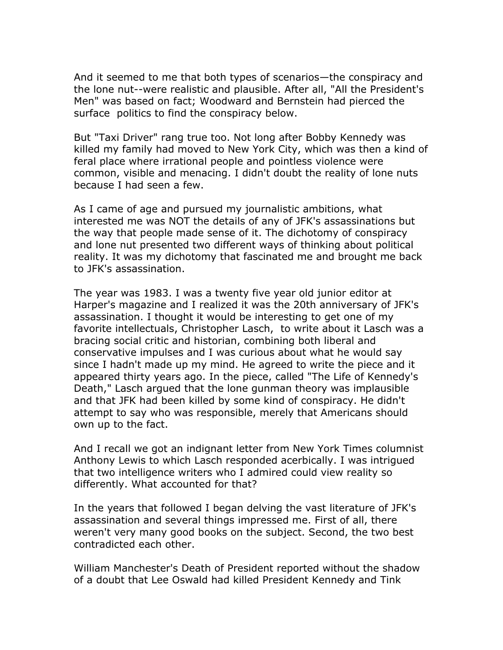And it seemed to me that both types of scenarios—the conspiracy and the lone nut--were realistic and plausible. After all, "All the President's Men" was based on fact; Woodward and Bernstein had pierced the surface politics to find the conspiracy below.

But "Taxi Driver" rang true too. Not long after Bobby Kennedy was killed my family had moved to New York City, which was then a kind of feral place where irrational people and pointless violence were common, visible and menacing. I didn't doubt the reality of lone nuts because I had seen a few.

As I came of age and pursued my journalistic ambitions, what interested me was NOT the details of any of JFK's assassinations but the way that people made sense of it. The dichotomy of conspiracy and lone nut presented two different ways of thinking about political reality. It was my dichotomy that fascinated me and brought me back to JFK's assassination.

The year was 1983. I was a twenty five year old junior editor at Harper's magazine and I realized it was the 20th anniversary of JFK's assassination. I thought it would be interesting to get one of my favorite intellectuals, Christopher Lasch, to write about it Lasch was a bracing social critic and historian, combining both liberal and conservative impulses and I was curious about what he would say since I hadn't made up my mind. He agreed to write the piece and it appeared thirty years ago. In the piece, called "The Life of Kennedy's Death," Lasch argued that the lone gunman theory was implausible and that JFK had been killed by some kind of conspiracy. He didn't attempt to say who was responsible, merely that Americans should own up to the fact.

And I recall we got an indignant letter from New York Times columnist Anthony Lewis to which Lasch responded acerbically. I was intrigued that two intelligence writers who I admired could view reality so differently. What accounted for that?

In the years that followed I began delving the vast literature of JFK's assassination and several things impressed me. First of all, there weren't very many good books on the subject. Second, the two best contradicted each other.

William Manchester's Death of President reported without the shadow of a doubt that Lee Oswald had killed President Kennedy and Tink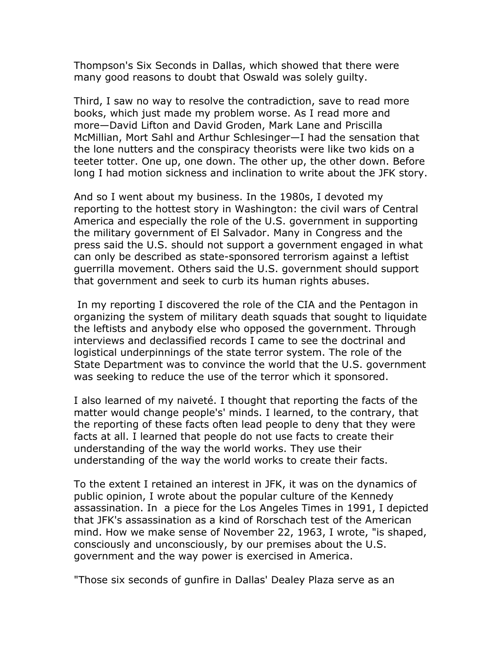Thompson's Six Seconds in Dallas, which showed that there were many good reasons to doubt that Oswald was solely guilty.

Third, I saw no way to resolve the contradiction, save to read more books, which just made my problem worse. As I read more and more—David Lifton and David Groden, Mark Lane and Priscilla McMillian, Mort Sahl and Arthur Schlesinger—I had the sensation that the lone nutters and the conspiracy theorists were like two kids on a teeter totter. One up, one down. The other up, the other down. Before long I had motion sickness and inclination to write about the JFK story.

And so I went about my business. In the 1980s, I devoted my reporting to the hottest story in Washington: the civil wars of Central America and especially the role of the U.S. government in supporting the military government of El Salvador. Many in Congress and the press said the U.S. should not support a government engaged in what can only be described as state-sponsored terrorism against a leftist guerrilla movement. Others said the U.S. government should support that government and seek to curb its human rights abuses.

In my reporting I discovered the role of the CIA and the Pentagon in organizing the system of military death squads that sought to liquidate the leftists and anybody else who opposed the government. Through interviews and declassified records I came to see the doctrinal and logistical underpinnings of the state terror system. The role of the State Department was to convince the world that the U.S. government was seeking to reduce the use of the terror which it sponsored.

I also learned of my naiveté. I thought that reporting the facts of the matter would change people's' minds. I learned, to the contrary, that the reporting of these facts often lead people to deny that they were facts at all. I learned that people do not use facts to create their understanding of the way the world works. They use their understanding of the way the world works to create their facts.

To the extent I retained an interest in JFK, it was on the dynamics of public opinion, I wrote about the popular culture of the Kennedy assassination. In a piece for the Los Angeles Times in 1991, I depicted that JFK's assassination as a kind of Rorschach test of the American mind. How we make sense of November 22, 1963, I wrote, "is shaped, consciously and unconsciously, by our premises about the U.S. government and the way power is exercised in America.

"Those six seconds of gunfire in Dallas' Dealey Plaza serve as an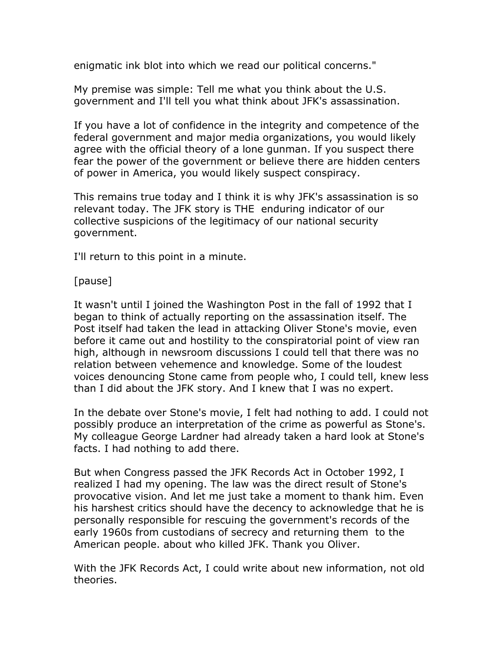enigmatic ink blot into which we read our political concerns."

My premise was simple: Tell me what you think about the U.S. government and I'll tell you what think about JFK's assassination.

If you have a lot of confidence in the integrity and competence of the federal government and major media organizations, you would likely agree with the official theory of a lone gunman. If you suspect there fear the power of the government or believe there are hidden centers of power in America, you would likely suspect conspiracy.

This remains true today and I think it is why JFK's assassination is so relevant today. The JFK story is THE enduring indicator of our collective suspicions of the legitimacy of our national security government.

I'll return to this point in a minute.

[pause]

It wasn't until I joined the Washington Post in the fall of 1992 that I began to think of actually reporting on the assassination itself. The Post itself had taken the lead in attacking Oliver Stone's movie, even before it came out and hostility to the conspiratorial point of view ran high, although in newsroom discussions I could tell that there was no relation between vehemence and knowledge. Some of the loudest voices denouncing Stone came from people who, I could tell, knew less than I did about the JFK story. And I knew that I was no expert.

In the debate over Stone's movie, I felt had nothing to add. I could not possibly produce an interpretation of the crime as powerful as Stone's. My colleague George Lardner had already taken a hard look at Stone's facts. I had nothing to add there.

But when Congress passed the JFK Records Act in October 1992, I realized I had my opening. The law was the direct result of Stone's provocative vision. And let me just take a moment to thank him. Even his harshest critics should have the decency to acknowledge that he is personally responsible for rescuing the government's records of the early 1960s from custodians of secrecy and returning them to the American people. about who killed JFK. Thank you Oliver.

With the JFK Records Act, I could write about new information, not old theories.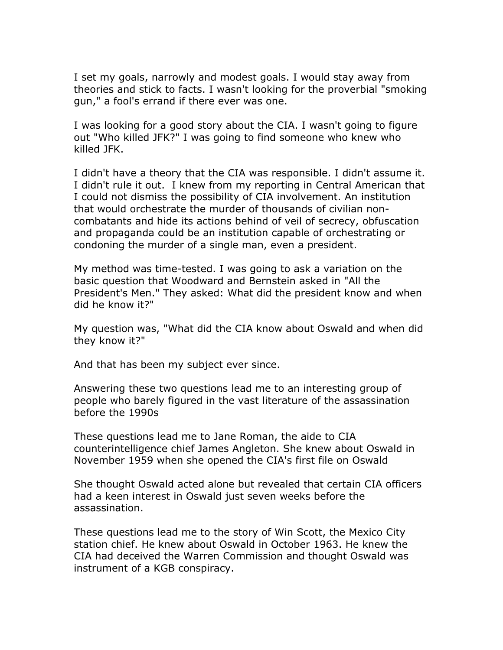I set my goals, narrowly and modest goals. I would stay away from theories and stick to facts. I wasn't looking for the proverbial "smoking gun," a fool's errand if there ever was one.

I was looking for a good story about the CIA. I wasn't going to figure out "Who killed JFK?" I was going to find someone who knew who killed JFK.

I didn't have a theory that the CIA was responsible. I didn't assume it. I didn't rule it out. I knew from my reporting in Central American that I could not dismiss the possibility of CIA involvement. An institution that would orchestrate the murder of thousands of civilian noncombatants and hide its actions behind of veil of secrecy, obfuscation and propaganda could be an institution capable of orchestrating or condoning the murder of a single man, even a president.

My method was time-tested. I was going to ask a variation on the basic question that Woodward and Bernstein asked in "All the President's Men." They asked: What did the president know and when did he know it?"

My question was, "What did the CIA know about Oswald and when did they know it?"

And that has been my subject ever since.

Answering these two questions lead me to an interesting group of people who barely figured in the vast literature of the assassination before the 1990s

These questions lead me to Jane Roman, the aide to CIA counterintelligence chief James Angleton. She knew about Oswald in November 1959 when she opened the CIA's first file on Oswald

She thought Oswald acted alone but revealed that certain CIA officers had a keen interest in Oswald just seven weeks before the assassination.

These questions lead me to the story of Win Scott, the Mexico City station chief. He knew about Oswald in October 1963. He knew the CIA had deceived the Warren Commission and thought Oswald was instrument of a KGB conspiracy.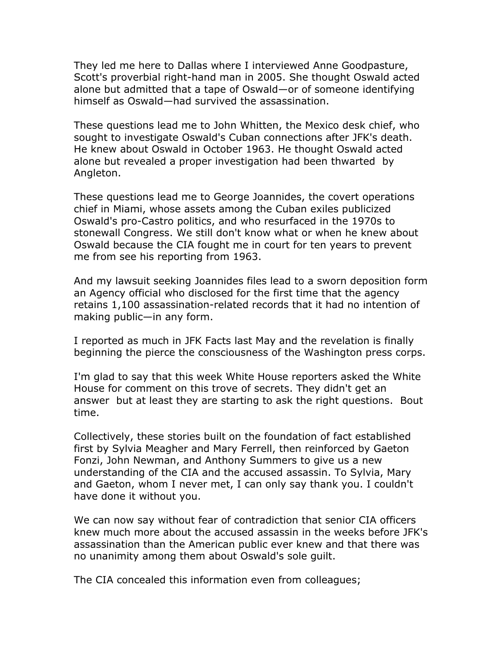They led me here to Dallas where I interviewed Anne Goodpasture, Scott's proverbial right-hand man in 2005. She thought Oswald acted alone but admitted that a tape of Oswald—or of someone identifying himself as Oswald—had survived the assassination.

These questions lead me to John Whitten, the Mexico desk chief, who sought to investigate Oswald's Cuban connections after JFK's death. He knew about Oswald in October 1963. He thought Oswald acted alone but revealed a proper investigation had been thwarted by Angleton.

These questions lead me to George Joannides, the covert operations chief in Miami, whose assets among the Cuban exiles publicized Oswald's pro-Castro politics, and who resurfaced in the 1970s to stonewall Congress. We still don't know what or when he knew about Oswald because the CIA fought me in court for ten years to prevent me from see his reporting from 1963.

And my lawsuit seeking Joannides files lead to a sworn deposition form an Agency official who disclosed for the first time that the agency retains 1,100 assassination-related records that it had no intention of making public—in any form.

I reported as much in JFK Facts last May and the revelation is finally beginning the pierce the consciousness of the Washington press corps.

I'm glad to say that this week White House reporters asked the White House for comment on this trove of secrets. They didn't get an answer but at least they are starting to ask the right questions. Bout time.

Collectively, these stories built on the foundation of fact established first by Sylvia Meagher and Mary Ferrell, then reinforced by Gaeton Fonzi, John Newman, and Anthony Summers to give us a new understanding of the CIA and the accused assassin. To Sylvia, Mary and Gaeton, whom I never met, I can only say thank you. I couldn't have done it without you.

We can now say without fear of contradiction that senior CIA officers knew much more about the accused assassin in the weeks before JFK's assassination than the American public ever knew and that there was no unanimity among them about Oswald's sole guilt.

The CIA concealed this information even from colleagues;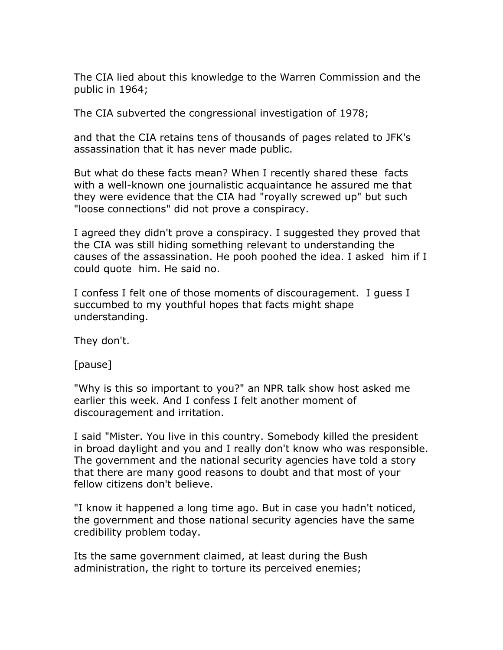The CIA lied about this knowledge to the Warren Commission and the public in 1964;

The CIA subverted the congressional investigation of 1978;

and that the CIA retains tens of thousands of pages related to JFK's assassination that it has never made public.

But what do these facts mean? When I recently shared these facts with a well-known one journalistic acquaintance he assured me that they were evidence that the CIA had "royally screwed up" but such "loose connections" did not prove a conspiracy.

I agreed they didn't prove a conspiracy. I suggested they proved that the CIA was still hiding something relevant to understanding the causes of the assassination. He pooh poohed the idea. I asked him if I could quote him. He said no.

I confess I felt one of those moments of discouragement. I guess I succumbed to my youthful hopes that facts might shape understanding.

They don't.

[pause]

"Why is this so important to you?" an NPR talk show host asked me earlier this week. And I confess I felt another moment of discouragement and irritation.

I said "Mister. You live in this country. Somebody killed the president in broad daylight and you and I really don't know who was responsible. The government and the national security agencies have told a story that there are many good reasons to doubt and that most of your fellow citizens don't believe.

"I know it happened a long time ago. But in case you hadn't noticed, the government and those national security agencies have the same credibility problem today.

Its the same government claimed, at least during the Bush administration, the right to torture its perceived enemies;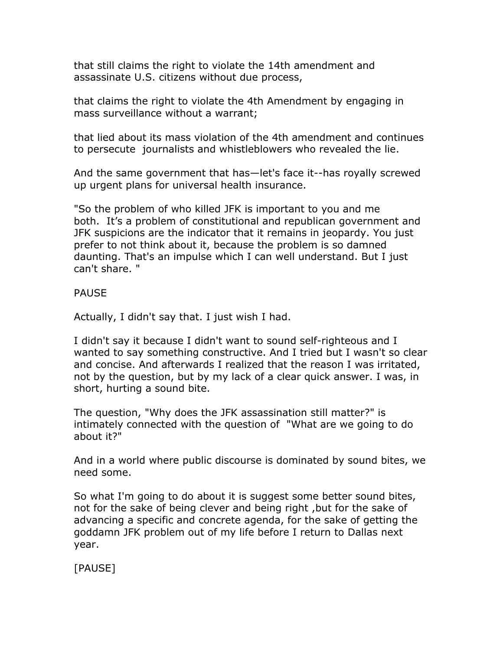that still claims the right to violate the 14th amendment and assassinate U.S. citizens without due process,

that claims the right to violate the 4th Amendment by engaging in mass surveillance without a warrant;

that lied about its mass violation of the 4th amendment and continues to persecute journalists and whistleblowers who revealed the lie.

And the same government that has—let's face it--has royally screwed up urgent plans for universal health insurance.

"So the problem of who killed JFK is important to you and me both. It's a problem of constitutional and republican government and JFK suspicions are the indicator that it remains in jeopardy. You just prefer to not think about it, because the problem is so damned daunting. That's an impulse which I can well understand. But I just can't share. "

## PAUSE

Actually, I didn't say that. I just wish I had.

I didn't say it because I didn't want to sound self-righteous and I wanted to say something constructive. And I tried but I wasn't so clear and concise. And afterwards I realized that the reason I was irritated, not by the question, but by my lack of a clear quick answer. I was, in short, hurting a sound bite.

The question, "Why does the JFK assassination still matter?" is intimately connected with the question of "What are we going to do about it?"

And in a world where public discourse is dominated by sound bites, we need some.

So what I'm going to do about it is suggest some better sound bites, not for the sake of being clever and being right ,but for the sake of advancing a specific and concrete agenda, for the sake of getting the goddamn JFK problem out of my life before I return to Dallas next year.

[PAUSE]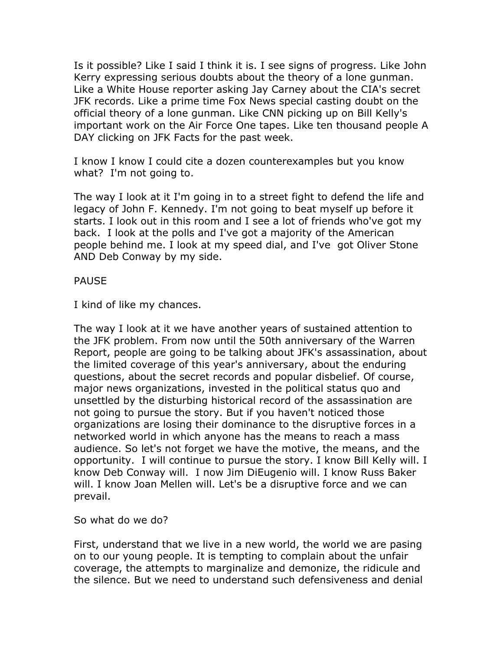Is it possible? Like I said I think it is. I see signs of progress. Like John Kerry expressing serious doubts about the theory of a lone gunman. Like a White House reporter asking Jay Carney about the CIA's secret JFK records. Like a prime time Fox News special casting doubt on the official theory of a lone gunman. Like CNN picking up on Bill Kelly's important work on the Air Force One tapes. Like ten thousand people A DAY clicking on JFK Facts for the past week.

I know I know I could cite a dozen counterexamples but you know what? I'm not going to.

The way I look at it I'm going in to a street fight to defend the life and legacy of John F. Kennedy. I'm not going to beat myself up before it starts. I look out in this room and I see a lot of friends who've got my back. I look at the polls and I've got a majority of the American people behind me. I look at my speed dial, and I've got Oliver Stone AND Deb Conway by my side.

## PAUSE

I kind of like my chances.

The way I look at it we have another years of sustained attention to the JFK problem. From now until the 50th anniversary of the Warren Report, people are going to be talking about JFK's assassination, about the limited coverage of this year's anniversary, about the enduring questions, about the secret records and popular disbelief. Of course, major news organizations, invested in the political status quo and unsettled by the disturbing historical record of the assassination are not going to pursue the story. But if you haven't noticed those organizations are losing their dominance to the disruptive forces in a networked world in which anyone has the means to reach a mass audience. So let's not forget we have the motive, the means, and the opportunity. I will continue to pursue the story. I know Bill Kelly will. I know Deb Conway will. I now Jim DiEugenio will. I know Russ Baker will. I know Joan Mellen will. Let's be a disruptive force and we can prevail.

So what do we do?

First, understand that we live in a new world, the world we are pasing on to our young people. It is tempting to complain about the unfair coverage, the attempts to marginalize and demonize, the ridicule and the silence. But we need to understand such defensiveness and denial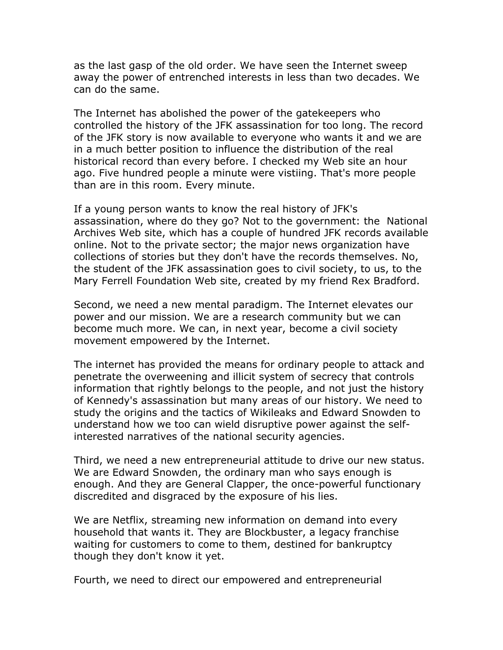as the last gasp of the old order. We have seen the Internet sweep away the power of entrenched interests in less than two decades. We can do the same.

The Internet has abolished the power of the gatekeepers who controlled the history of the JFK assassination for too long. The record of the JFK story is now available to everyone who wants it and we are in a much better position to influence the distribution of the real historical record than every before. I checked my Web site an hour ago. Five hundred people a minute were vistiing. That's more people than are in this room. Every minute.

If a young person wants to know the real history of JFK's assassination, where do they go? Not to the government: the National Archives Web site, which has a couple of hundred JFK records available online. Not to the private sector; the major news organization have collections of stories but they don't have the records themselves. No, the student of the JFK assassination goes to civil society, to us, to the Mary Ferrell Foundation Web site, created by my friend Rex Bradford.

Second, we need a new mental paradigm. The Internet elevates our power and our mission. We are a research community but we can become much more. We can, in next year, become a civil society movement empowered by the Internet.

The internet has provided the means for ordinary people to attack and penetrate the overweening and illicit system of secrecy that controls information that rightly belongs to the people, and not just the history of Kennedy's assassination but many areas of our history. We need to study the origins and the tactics of Wikileaks and Edward Snowden to understand how we too can wield disruptive power against the selfinterested narratives of the national security agencies.

Third, we need a new entrepreneurial attitude to drive our new status. We are Edward Snowden, the ordinary man who says enough is enough. And they are General Clapper, the once-powerful functionary discredited and disgraced by the exposure of his lies.

We are Netflix, streaming new information on demand into every household that wants it. They are Blockbuster, a legacy franchise waiting for customers to come to them, destined for bankruptcy though they don't know it yet.

Fourth, we need to direct our empowered and entrepreneurial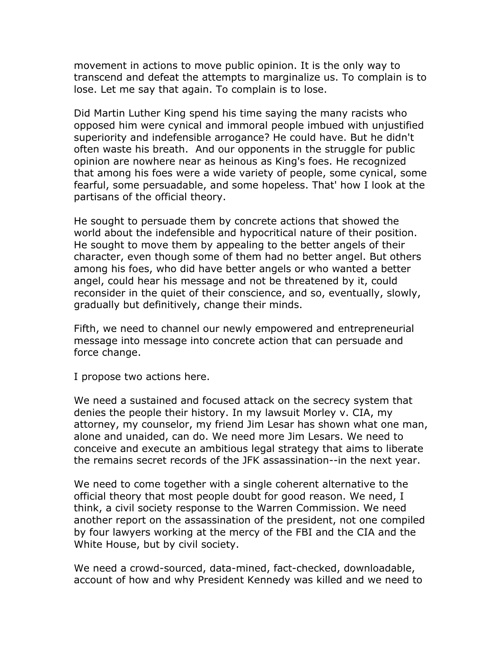movement in actions to move public opinion. It is the only way to transcend and defeat the attempts to marginalize us. To complain is to lose. Let me say that again. To complain is to lose.

Did Martin Luther King spend his time saying the many racists who opposed him were cynical and immoral people imbued with unjustified superiority and indefensible arrogance? He could have. But he didn't often waste his breath. And our opponents in the struggle for public opinion are nowhere near as heinous as King's foes. He recognized that among his foes were a wide variety of people, some cynical, some fearful, some persuadable, and some hopeless. That' how I look at the partisans of the official theory.

He sought to persuade them by concrete actions that showed the world about the indefensible and hypocritical nature of their position. He sought to move them by appealing to the better angels of their character, even though some of them had no better angel. But others among his foes, who did have better angels or who wanted a better angel, could hear his message and not be threatened by it, could reconsider in the quiet of their conscience, and so, eventually, slowly, gradually but definitively, change their minds.

Fifth, we need to channel our newly empowered and entrepreneurial message into message into concrete action that can persuade and force change.

I propose two actions here.

We need a sustained and focused attack on the secrecy system that denies the people their history. In my lawsuit Morley v. CIA, my attorney, my counselor, my friend Jim Lesar has shown what one man, alone and unaided, can do. We need more Jim Lesars. We need to conceive and execute an ambitious legal strategy that aims to liberate the remains secret records of the JFK assassination--in the next year.

We need to come together with a single coherent alternative to the official theory that most people doubt for good reason. We need, I think, a civil society response to the Warren Commission. We need another report on the assassination of the president, not one compiled by four lawyers working at the mercy of the FBI and the CIA and the White House, but by civil society.

We need a crowd-sourced, data-mined, fact-checked, downloadable, account of how and why President Kennedy was killed and we need to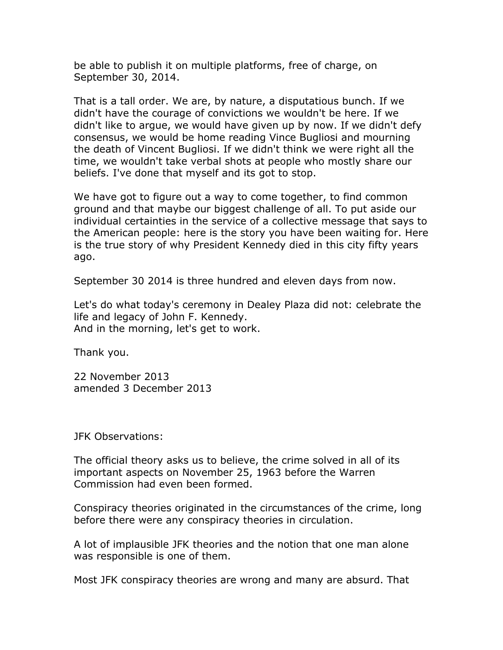be able to publish it on multiple platforms, free of charge, on September 30, 2014.

That is a tall order. We are, by nature, a disputatious bunch. If we didn't have the courage of convictions we wouldn't be here. If we didn't like to argue, we would have given up by now. If we didn't defy consensus, we would be home reading Vince Bugliosi and mourning the death of Vincent Bugliosi. If we didn't think we were right all the time, we wouldn't take verbal shots at people who mostly share our beliefs. I've done that myself and its got to stop.

We have got to figure out a way to come together, to find common ground and that maybe our biggest challenge of all. To put aside our individual certainties in the service of a collective message that says to the American people: here is the story you have been waiting for. Here is the true story of why President Kennedy died in this city fifty years ago.

September 30 2014 is three hundred and eleven days from now.

Let's do what today's ceremony in Dealey Plaza did not: celebrate the life and legacy of John F. Kennedy. And in the morning, let's get to work.

Thank you.

22 November 2013 amended 3 December 2013

JFK Observations:

The official theory asks us to believe, the crime solved in all of its important aspects on November 25, 1963 before the Warren Commission had even been formed.

Conspiracy theories originated in the circumstances of the crime, long before there were any conspiracy theories in circulation.

A lot of implausible JFK theories and the notion that one man alone was responsible is one of them.

Most JFK conspiracy theories are wrong and many are absurd. That